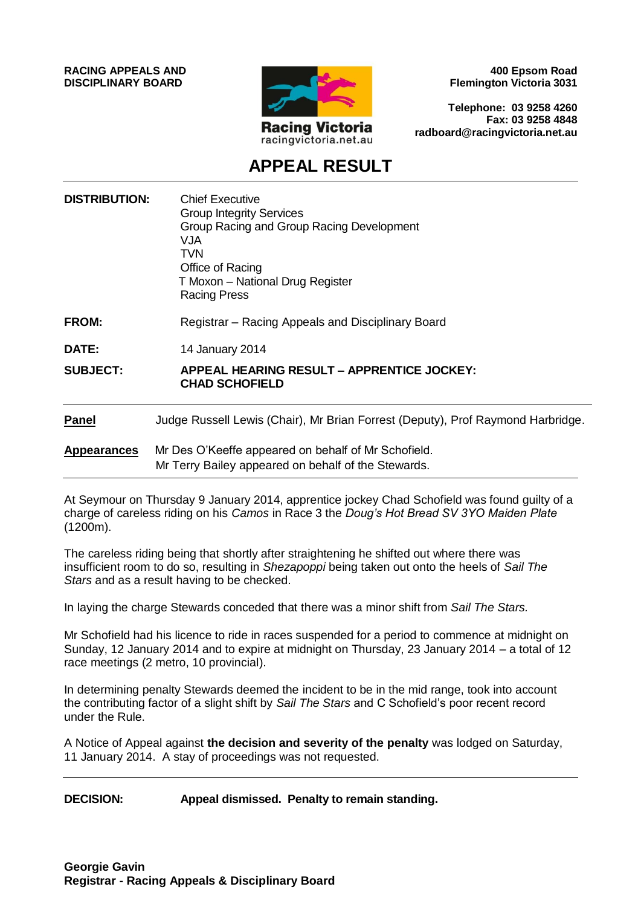**RACING APPEALS AND DISCIPLINARY BOARD**



**400 Epsom Road Flemington Victoria 3031**

**Telephone: 03 9258 4260 Fax: 03 9258 4848 radboard@racingvictoria.net.au**

# **APPEAL RESULT**

| <b>DISTRIBUTION:</b> | <b>Chief Executive</b><br><b>Group Integrity Services</b><br>Group Racing and Group Racing Development<br>VJA<br><b>TVN</b><br>Office of Racing<br>T Moxon - National Drug Register<br><b>Racing Press</b> |
|----------------------|------------------------------------------------------------------------------------------------------------------------------------------------------------------------------------------------------------|
| <b>FROM:</b>         | Registrar – Racing Appeals and Disciplinary Board                                                                                                                                                          |
| DATE:                | 14 January 2014                                                                                                                                                                                            |
| <b>SUBJECT:</b>      | APPEAL HEARING RESULT – APPRENTICE JOCKEY:<br><b>CHAD SCHOFIELD</b>                                                                                                                                        |
| <b>Panel</b>         | Judge Russell Lewis (Chair), Mr Brian Forrest (Deputy), Prof Raymond Harbridge.                                                                                                                            |
| <b>Appearances</b>   | Mr Des O'Keeffe appeared on behalf of Mr Schofield.<br>Mr Terry Bailey appeared on behalf of the Stewards.                                                                                                 |

At Seymour on Thursday 9 January 2014, apprentice jockey Chad Schofield was found guilty of a charge of careless riding on his *Camos* in Race 3 the *Doug's Hot Bread SV 3YO Maiden Plate* (1200m).

The careless riding being that shortly after straightening he shifted out where there was insufficient room to do so, resulting in *Shezapoppi* being taken out onto the heels of *Sail The Stars* and as a result having to be checked.

In laying the charge Stewards conceded that there was a minor shift from *Sail The Stars.*

Mr Schofield had his licence to ride in races suspended for a period to commence at midnight on Sunday, 12 January 2014 and to expire at midnight on Thursday, 23 January 2014 – a total of 12 race meetings (2 metro, 10 provincial).

In determining penalty Stewards deemed the incident to be in the mid range, took into account the contributing factor of a slight shift by *Sail The Stars* and C Schofield's poor recent record under the Rule.

A Notice of Appeal against **the decision and severity of the penalty** was lodged on Saturday, 11 January 2014. A stay of proceedings was not requested.

**DECISION: Appeal dismissed. Penalty to remain standing.**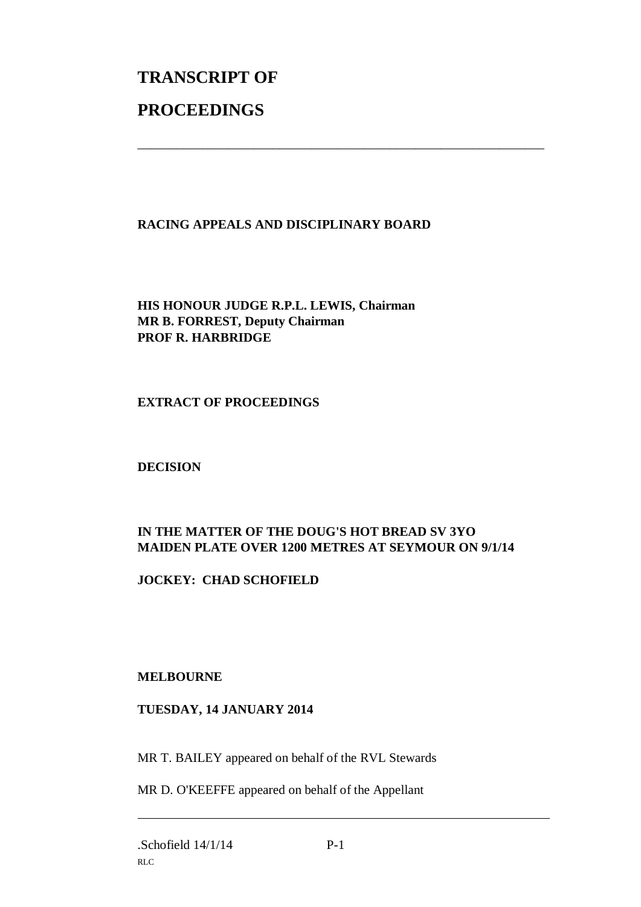# **TRANSCRIPT OF PROCEEDINGS**

## **RACING APPEALS AND DISCIPLINARY BOARD**

\_\_\_\_\_\_\_\_\_\_\_\_\_\_\_\_\_\_\_\_\_\_\_\_\_\_\_\_\_\_\_\_\_\_\_\_\_\_\_\_\_\_\_\_\_\_\_\_\_\_\_\_\_\_\_\_\_\_\_\_\_\_\_

**HIS HONOUR JUDGE R.P.L. LEWIS, Chairman MR B. FORREST, Deputy Chairman PROF R. HARBRIDGE**

**EXTRACT OF PROCEEDINGS**

**DECISION**

## **IN THE MATTER OF THE DOUG'S HOT BREAD SV 3YO MAIDEN PLATE OVER 1200 METRES AT SEYMOUR ON 9/1/14**

**JOCKEY: CHAD SCHOFIELD**

#### **MELBOURNE**

#### **TUESDAY, 14 JANUARY 2014**

MR T. BAILEY appeared on behalf of the RVL Stewards

MR D. O'KEEFFE appeared on behalf of the Appellant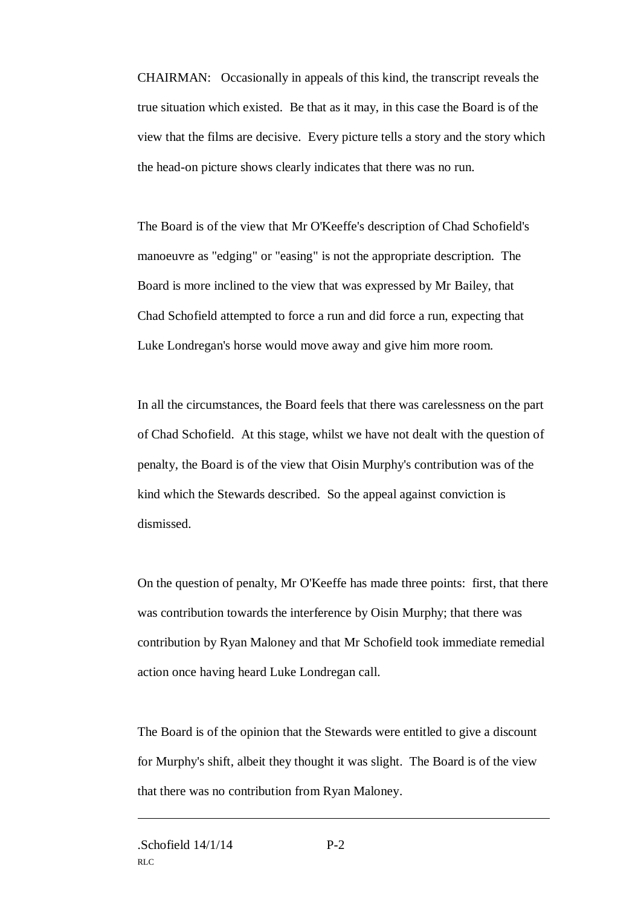CHAIRMAN: Occasionally in appeals of this kind, the transcript reveals the true situation which existed. Be that as it may, in this case the Board is of the view that the films are decisive. Every picture tells a story and the story which the head-on picture shows clearly indicates that there was no run.

The Board is of the view that Mr O'Keeffe's description of Chad Schofield's manoeuvre as "edging" or "easing" is not the appropriate description. The Board is more inclined to the view that was expressed by Mr Bailey, that Chad Schofield attempted to force a run and did force a run, expecting that Luke Londregan's horse would move away and give him more room.

In all the circumstances, the Board feels that there was carelessness on the part of Chad Schofield. At this stage, whilst we have not dealt with the question of penalty, the Board is of the view that Oisin Murphy's contribution was of the kind which the Stewards described. So the appeal against conviction is dismissed.

On the question of penalty, Mr O'Keeffe has made three points: first, that there was contribution towards the interference by Oisin Murphy; that there was contribution by Ryan Maloney and that Mr Schofield took immediate remedial action once having heard Luke Londregan call.

The Board is of the opinion that the Stewards were entitled to give a discount for Murphy's shift, albeit they thought it was slight. The Board is of the view that there was no contribution from Ryan Maloney.